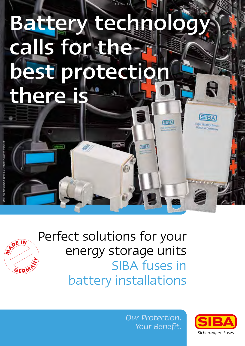# Battery technolog calls for the best protecti there is

ads<sup>16</sup>

GEA

SIBA LLC



Perfect solutions for your energy storage units SIBA fuses in battery installations

> *Our Protection. Your Benefit.*



**SIBA** 

**High Quality Fuses**<br>Made in Germany

**SBA** 

**Discount form**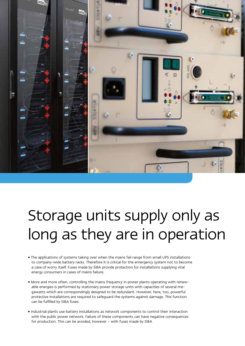

## Storage units supply only as long as they are in operation

- The applications of systems taking over when the mains fail range from small UPS installations to company-wide battery racks. Therefore it is critical for the emergency system not to become a case of worry itself. Fuses made by SIBA provide protection for installations supplying vital energy consumers in cases of mains failure.
- More and more often, controlling the mains frequency in power plants operating with renewable energies is performed by stationary power storage units with capacities of several megawatts which are correspondingly designed to be redundant. However, here, too, powerful protective installations are required to safeguard the systems against damage. This function can be fulfilled by SIBA fuses.
- Industrial plants use battery installations as network components to control their interaction with the public power network. Failure of these components can have negative consequences for production. This can be avoided, however – with fuses made by SIBA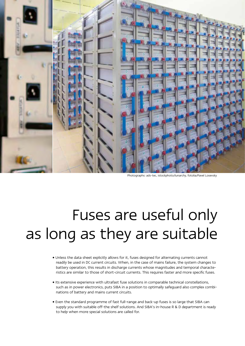

Photographs: ads-tec, istockphoto/lunarchy, fotolia/Pavel Losevsky

## Fuses are useful only as long as they are suitable

- Unless the data sheet explicitly allows for it, fuses designed for alternating currents cannot readily be used in DC current circuits. When, in the case of mains failure, the system changes to battery operation, this results in discharge currents whose magnitudes and temporal characteristics are similar to those of short-circuit currents. This requires faster and more specific fuses.
- Its extensive experience with ultrafast fuse solutions in comparable technical constellations, such as in power electronics, puts SIBA in a position to optimally safeguard also complex combinations of battery and mains current circuits.
- Even the standard programme of fast full-range and back-up fuses is so large that SIBA can supply you with suitable off-the shelf solutions. And SIBA's in-house R & D department is ready to help when more special solutions are called for.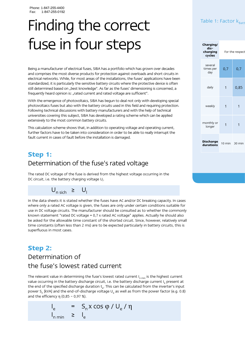## Finding the correct Table 1: Factor k<sub>Batt</sub> fuse in four steps

Being a manufacturer of electrical fuses, SIBA has a portfolio which has grown over decades and comprises the most diverse products for protection against overloads and short circuits in electrical networks. While, for most areas of the installations, the fuses' applications have been standardized, it is particularly the sensitive battery circuits where the protective device is often still determined based on "best knowledge". As far as the fuses' dimensioning is concerned, a frequently heard opinion is: "rated current and rated voltage are sufficient".

With the emergence of photovoltaics, SIBA has begun to deal not only with developing special photovoltaics fuses but also with the battery circuits used in this field and requiring protection. Following technical discussions with battery manufacturers and with the help of technical universities covering this subject, SIBA has developed a rating scheme which can be applied extensively to the most common battery circuits.

This calculation scheme shows that, in addition to operating voltage and operating current, further factors have to be taken into consideration in order to be able to really interrupt the fault current in cases of fault before the installation is damaged.

## **Step 1:**  Determination of the fuse's rated voltage

The rated DC voltage of the fuse is derived from the highest voltage occurring in the DC circuit, i.e. the battery charging voltage  $U_{\text{p}}$ .

## $U_{n \text{ sich}} \geq U_{n}$

In the data sheets it is stated whether the fuses have AC and/or DC breaking capacity. In cases where only a rated AC voltage is given, the fuses are only under certain conditions suitable for use in DC voltage circuits. The manufacturer should be consulted as to whether the commonly known statement "rated DC voltage = 0,7 x rated AC voltage" applies. Actually he should also be asked for the allowable time constant of the shorted circuit. Since, however, relatively small time constants (often less than 2 ms) are to be expected particularly in battery circuits, this is superfluous in most cases.

## **Step 2:** Determination of the fuse's lowest rated current

The relevant value in determining the fuse's lowest rated current  $I_{n,min}$  is the highest current value occurring in the battery discharge circuit, i.e. the battery discharge current Ie present at the end of the specified discharge duration t<sub>e</sub>. This can be calculated from the inverter's input power S<sub>n</sub> [kVA] and the end-of-discharge voltage  $U_{\alpha}$  as well as from the power factor (e.g. 0.8) and the efficiency  $\eta$  (0,85 - 0,97 %).

$$
I_e = S_n x \cos \varphi / U_e / \eta
$$
  

$$
I_{n \min} \geq I_e
$$

| Charging/<br>dis-<br>charging<br>cycles | For the respect |                |
|-----------------------------------------|-----------------|----------------|
| several<br>times per<br>day             | 0,7             | 0,7            |
| daily                                   | $\mathbf{1}$    | 0,85           |
| weekly                                  | $\overline{1}$  | $\overline{1}$ |
| monthly or<br>longer                    | $\overline{1}$  | $\overline{1}$ |
| Discharge<br>durations                  | 10 min          | 30 min         |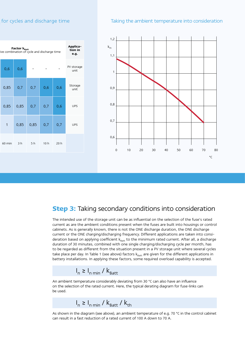### for cycles and discharge time Taking the ambient temperature into consideration





### **Step 3:** Taking secondary conditions into consideration

The intended use of the storage unit can be as influential on the selection of the fuse's rated current as are the ambient conditions present when the fuses are built into housings or control cabinets. As is generally known, there is not the ONE discharge duration, the ONE discharge current or the ONE charging/discharging frequency. Different applications are taken into consideration based on applying coefficient  $k_{\text{Batt}}$  to the minimum rated current. After all, a discharge duration of 30 minutes, combined with one single charging/discharging cycle per month, has to be regarded as different from the situation present in a PV storage unit where several cycles take place per day. In Table 1 (see above) factors  $k_{\text{Ratt}}$  are given for the different applications in battery installations. In applying these factors, some required overload capability is accepted.

## $I_n \geq I_{n \min} / k_{\text{Batt}}$

An ambient temperature considerably deviating from 30 °C can also have an influence on the selection of the rated current. Here, the typical derating diagram for fuse-links can be used.

 $I_n \geq I_{n \min} / k_{\text{Batt}} / k_{\text{th}}$ 

As shown in the diagram (see above), an ambient temperature of e.g. 70 °C in the control cabinet can result in a fast reduction of a rated current of 100 A down to 70 A.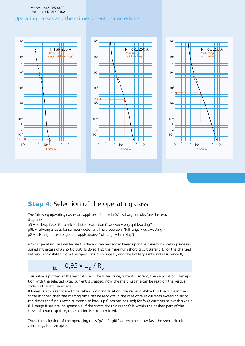#### Phone: 1-847-255-4400 Fax: 1-847-255-0192

#### Operating classes and their time/current characteristics



## **Step 4: Selection of the operating class**

The following operating classes are applicable for use in DC discharge circuits (see the above diagrams):

aR – back-up fuses for semiconductor protection ("back-up – very quick-acting")

gRL – full-range fuses for semiconductor and line protection ("full range – quick-acting")

gG –full-range fuses for general applications ("full range – time-lag")

Which operating class will be used in the end can be decided based upon the maximum melting time required in the case of a short circuit. To do so, first the maximum short-circuit current  $I_{kB}$  of the charged battery is calculated from the open-circuit voltage  $U_a$  and the battery's internal resistance  $R_a$ :

## $I_{kB} = 0,95 \times U_B / R_B$

This value is plotted as the vertical line in the fuses' time/current diagram, then a point of interception with the selected rated current is created, now the melting time can be read off the vertical scale on the left-hand side.

If lower fault currents are to be taken into consideration, the value is plotted on the curve in the same manner, then the melting time can be read off. In the case of fault currents exceeding six to ten times the fuse's rated current also back-up fuses can be used; for fault currents below this value full-range fuses are indispensable. If the short-circuit current falls within the dashed part of the curve of a back-up fuse, this solution is not permitted.

Thus, the selection of the operating class (gG, aR, gRL) determines how fast the short-circuit current  $I_{KB}$  is interrupted.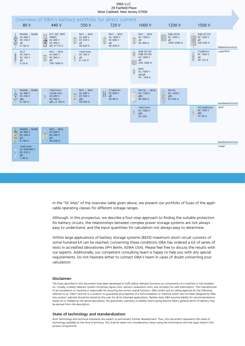

In the "DC lines" of the overview table given above, we present our portfolio of fuses of the applicable operating classes for different voltage ranges.

Although, in this prospectus, we describe a four-step approach to finding the suitable protection for battery circuits, the relationships between complex power storage systems are not always easy to understand, and the input quantities for calculation not always easy to determine.

Within large applications of battery storage systems (BESS) maximum short-circuit currents of some hundred kA can be reached. Concerning these conditions SIBA has ordered a lot of series of tests in accredited laboratories (IPH Berlin, KEMA USA). Please feel free to discuss the results with our experts. Additionally, our competent consulting team is happy to help you with any special requirements. Do not hesitate either to contact SIBA's team in cases of doubt concerning your calculation.

#### Disclaimer:

The fuses described in this document have been developed to fulfil safety-relevant functions as components of a machine or full installation. Usually, a safety-relevant system comprises signal units, sensors, evaluation units, and concepts for safe interruption. The manufacturer of an installation or machine is responsible for ensuring the correct overall function. SIBA GmbH and its selling agencies (in the following referred to as "SIBA") are not in a position to guarantee all properties of a full installation or machine which has not been designed by SIBA. Any product selected should be tested by the user for all its intended applications. Neither does SIBA assume liability for recommendations based on or implied by the above description. No guarantee, warranty or liability claims going beyond SIBA's general terms of delivery may be derived from the description.

#### State of technology and standardization:

Both technology and technical standards are subject to permanent further development. Thus, this document represents the state of technology available at the time of printing. This shall be taken into consideration when using the information and the types listed in the product programme.